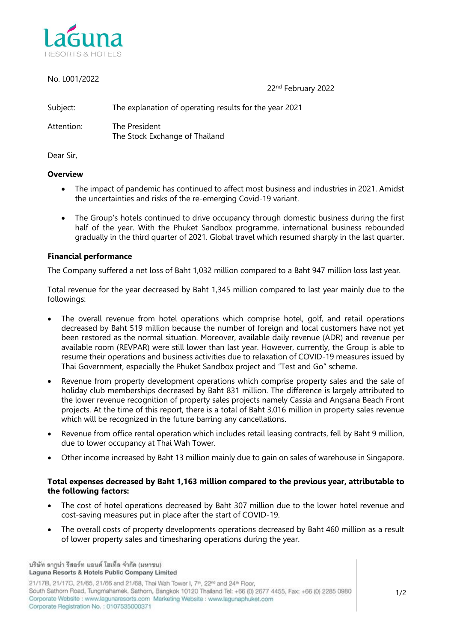

| No. L001/2022 |                                                        | 22 <sup>nd</sup> February 2022 |
|---------------|--------------------------------------------------------|--------------------------------|
| Subject:      | The explanation of operating results for the year 2021 |                                |
| Attention:    | The President<br>The Stock Exchange of Thailand        |                                |

Dear Sir,

## **Overview**

- The impact of pandemic has continued to affect most business and industries in 2021. Amidst the uncertainties and risks of the re-emerging Covid-19 variant.
- The Group's hotels continued to drive occupancy through domestic business during the first half of the year. With the Phuket Sandbox programme, international business rebounded gradually in the third quarter of 2021. Global travel which resumed sharply in the last quarter.

## **Financial performance**

The Company suffered a net loss of Baht 1,032 million compared to a Baht 947 million loss last year.

Total revenue for the year decreased by Baht 1,345 million compared to last year mainly due to the followings:

- The overall revenue from hotel operations which comprise hotel, golf, and retail operations decreased by Baht 519 million because the number of foreign and local customers have not yet been restored as the normal situation. Moreover, available daily revenue (ADR) and revenue per available room (REVPAR) were still lower than last year. However, currently, the Group is able to resume their operations and business activities due to relaxation of COVID-19 measures issued by Thai Government, especially the Phuket Sandbox project and "Test and Go" scheme.
- Revenue from property development operations which comprise property sales and the sale of holiday club memberships decreased by Baht 831 million. The difference is largely attributed to the lower revenue recognition of property sales projects namely Cassia and Angsana Beach Front projects. At the time of this report, there is a total of Baht 3,016 million in property sales revenue which will be recognized in the future barring any cancellations.
- Revenue from office rental operation which includes retail leasing contracts, fell by Baht 9 million, due to lower occupancy at Thai Wah Tower.
- Other income increased by Baht 13 million mainly due to gain on sales of warehouse in Singapore.

## **Total expenses decreased by Baht 1,163 million compared to the previous year, attributable to the following factors:**

- The cost of hotel operations decreased by Baht 307 million due to the lower hotel revenue and cost-saving measures put in place after the start of COVID-19.
- The overall costs of property developments operations decreased by Baht 460 million as a result of lower property sales and timesharing operations during the year.

บริษัท ลากน่า รีสอร์ท แอนด์ โฮเท็ล จำกัด (มหาชน) Laguna Resorts & Hotels Public Company Limited